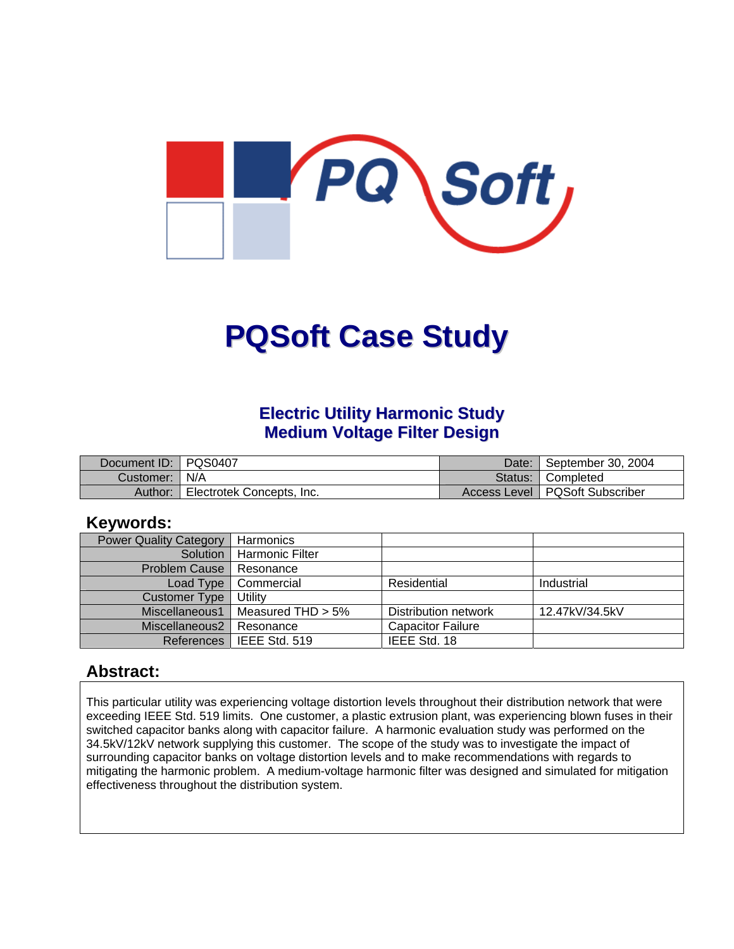

# **PQSoft Case Study**

# **Electric Utility Harmonic Study Medium Voltage Filter Design**

| Document ID:   PQS0407 |                           | Date: | September 30, 2004               |
|------------------------|---------------------------|-------|----------------------------------|
| Customer:   N/A        |                           |       | Status: Completed                |
| Author:                | Electrotek Concepts, Inc. |       | Access Level   PQSoft Subscriber |

## **Keywords:**

| <b>Power Quality Category</b> | Harmonics              |                          |                |
|-------------------------------|------------------------|--------------------------|----------------|
| Solution                      | <b>Harmonic Filter</b> |                          |                |
| <b>Problem Cause</b>          | Resonance              |                          |                |
| Load Type                     | Commercial             | Residential              | Industrial     |
| <b>Customer Type</b>          | Utility                |                          |                |
| Miscellaneous1                | Measured THD $> 5\%$   | Distribution network     | 12.47kV/34.5kV |
| Miscellaneous2                | Resonance              | <b>Capacitor Failure</b> |                |
| References                    | l IEEE Std. 519        | IEEE Std. 18             |                |

## **Abstract:**

This particular utility was experiencing voltage distortion levels throughout their distribution network that were exceeding IEEE Std. 519 limits. One customer, a plastic extrusion plant, was experiencing blown fuses in their switched capacitor banks along with capacitor failure. A harmonic evaluation study was performed on the 34.5kV/12kV network supplying this customer. The scope of the study was to investigate the impact of surrounding capacitor banks on voltage distortion levels and to make recommendations with regards to mitigating the harmonic problem. A medium-voltage harmonic filter was designed and simulated for mitigation effectiveness throughout the distribution system.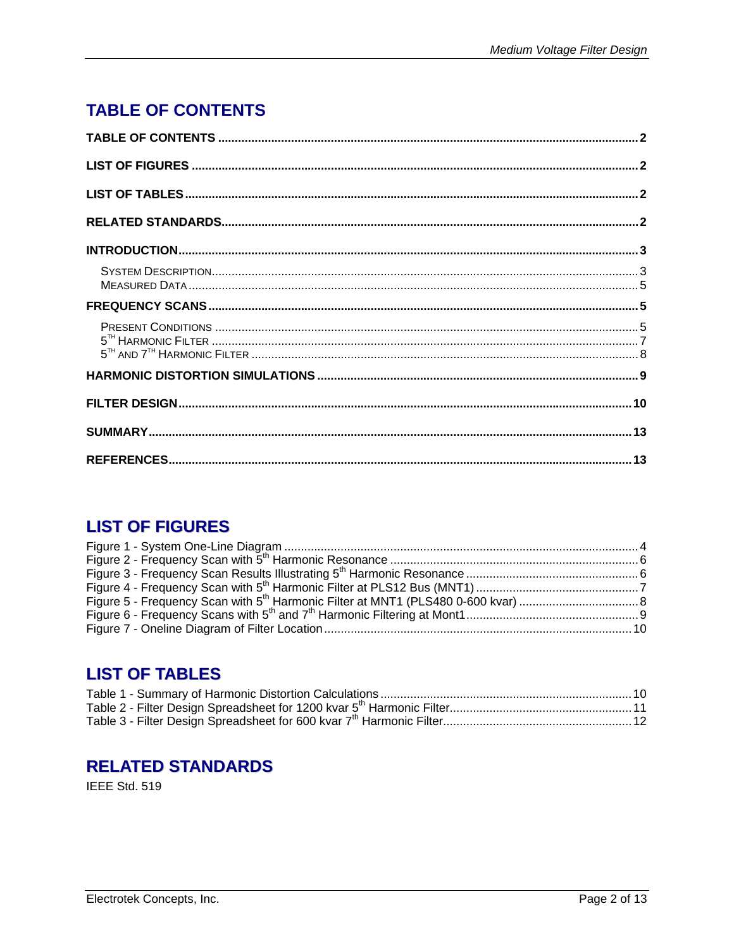# <span id="page-1-0"></span>**TABLE OF CONTENTS**

# **LIST OF FIGURES**

# **LIST OF TABLES**

# **RELATED STANDARDS**

IEEE Std. 519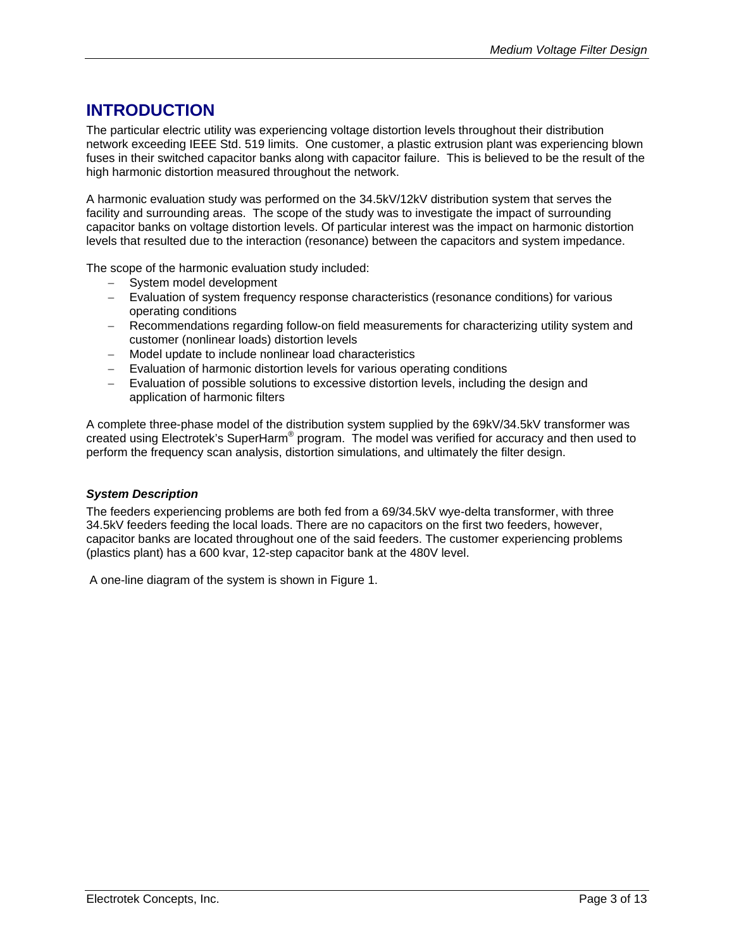# <span id="page-2-0"></span>**INTRODUCTION**

The particular electric utility was experiencing voltage distortion levels throughout their distribution network exceeding IEEE Std. 519 limits. One customer, a plastic extrusion plant was experiencing blown fuses in their switched capacitor banks along with capacitor failure. This is believed to be the result of the high harmonic distortion measured throughout the network.

A harmonic evaluation study was performed on the 34.5kV/12kV distribution system that serves the facility and surrounding areas. The scope of the study was to investigate the impact of surrounding capacitor banks on voltage distortion levels. Of particular interest was the impact on harmonic distortion levels that resulted due to the interaction (resonance) between the capacitors and system impedance.

The scope of the harmonic evaluation study included:

- − System model development
- − Evaluation of system frequency response characteristics (resonance conditions) for various operating conditions
- − Recommendations regarding follow-on field measurements for characterizing utility system and customer (nonlinear loads) distortion levels
- − Model update to include nonlinear load characteristics
- − Evaluation of harmonic distortion levels for various operating conditions
- − Evaluation of possible solutions to excessive distortion levels, including the design and application of harmonic filters

A complete three-phase model of the distribution system supplied by the 69kV/34.5kV transformer was created using Electrotek's SuperHarm® program. The model was verified for accuracy and then used to perform the frequency scan analysis, distortion simulations, and ultimately the filter design.

#### *System Description*

The feeders experiencing problems are both fed from a 69/34.5kV wye-delta transformer, with three 34.5kV feeders feeding the local loads. There are no capacitors on the first two feeders, however, capacitor banks are located throughout one of the said feeders. The customer experiencing problems (plastics plant) has a 600 kvar, 12-step capacitor bank at the 480V level.

A one-line diagram of the system is shown in [Figure 1.](#page-3-1)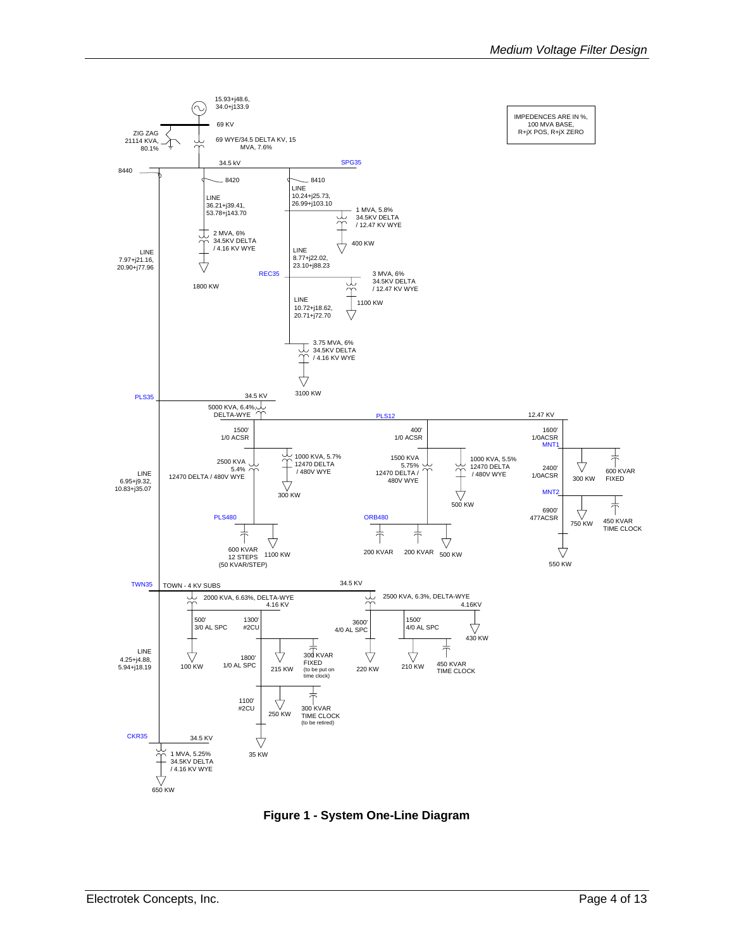<span id="page-3-1"></span><span id="page-3-0"></span>

**Figure 1 - System One-Line Diagram**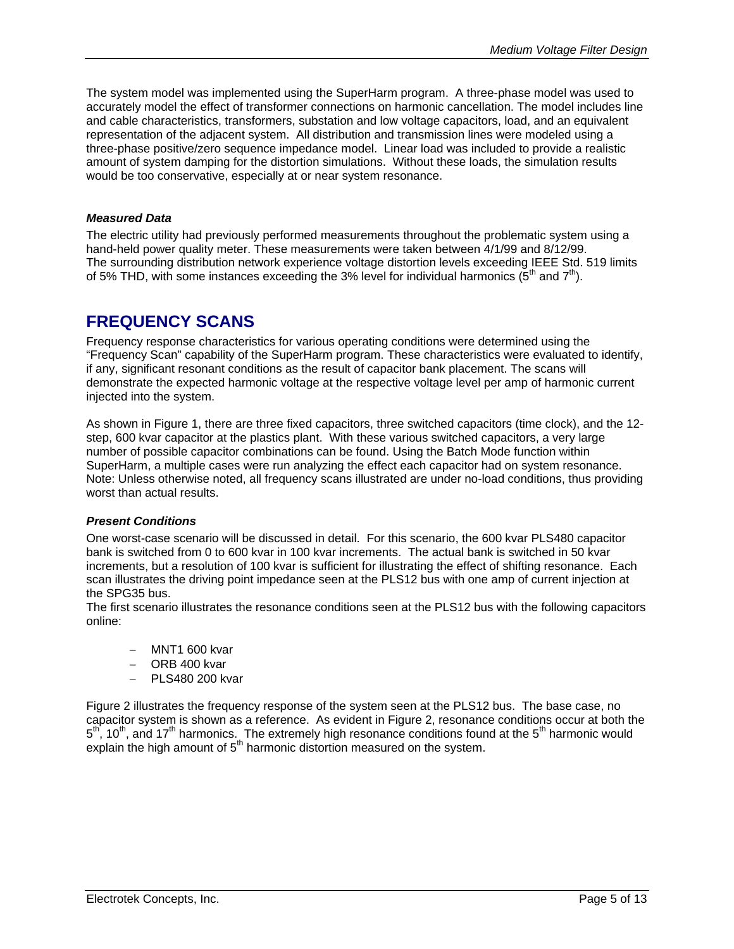<span id="page-4-0"></span>The system model was implemented using the SuperHarm program. A three-phase model was used to accurately model the effect of transformer connections on harmonic cancellation. The model includes line and cable characteristics, transformers, substation and low voltage capacitors, load, and an equivalent representation of the adjacent system. All distribution and transmission lines were modeled using a three-phase positive/zero sequence impedance model. Linear load was included to provide a realistic amount of system damping for the distortion simulations. Without these loads, the simulation results would be too conservative, especially at or near system resonance.

#### *Measured Data*

The electric utility had previously performed measurements throughout the problematic system using a hand-held power quality meter. These measurements were taken between 4/1/99 and 8/12/99. The surrounding distribution network experience voltage distortion levels exceeding IEEE Std. 519 limits of 5% THD, with some instances exceeding the 3% level for individual harmonics ( $5<sup>th</sup>$  and  $7<sup>th</sup>$ ).

# **FREQUENCY SCANS**

Frequency response characteristics for various operating conditions were determined using the "Frequency Scan" capability of the SuperHarm program. These characteristics were evaluated to identify, if any, significant resonant conditions as the result of capacitor bank placement. The scans will demonstrate the expected harmonic voltage at the respective voltage level per amp of harmonic current injected into the system.

As shown in [Figure 1,](#page-3-1) there are three fixed capacitors, three switched capacitors (time clock), and the 12 step, 600 kvar capacitor at the plastics plant. With these various switched capacitors, a very large number of possible capacitor combinations can be found. Using the Batch Mode function within SuperHarm, a multiple cases were run analyzing the effect each capacitor had on system resonance. Note: Unless otherwise noted, all frequency scans illustrated are under no-load conditions, thus providing worst than actual results.

#### *Present Conditions*

One worst-case scenario will be discussed in detail. For this scenario, the 600 kvar PLS480 capacitor bank is switched from 0 to 600 kvar in 100 kvar increments. The actual bank is switched in 50 kvar increments, but a resolution of 100 kvar is sufficient for illustrating the effect of shifting resonance. Each scan illustrates the driving point impedance seen at the PLS12 bus with one amp of current injection at the SPG35 bus.

The first scenario illustrates the resonance conditions seen at the PLS12 bus with the following capacitors online:

- − MNT1 600 kvar
- − ORB 400 kvar
- − PLS480 200 kvar

[Figure 2](#page-5-1) illustrates the frequency response of the system seen at the PLS12 bus. The base case, no capacitor system is shown as a reference. As evident in [Figure 2,](#page-5-1) resonance conditions occur at both the  $5<sup>th</sup>$ , 10<sup>th</sup>, and 17<sup>th</sup> harmonics. The extremely high resonance conditions found at the 5<sup>th</sup> harmonic would explain the high amount of  $5<sup>th</sup>$  harmonic distortion measured on the system.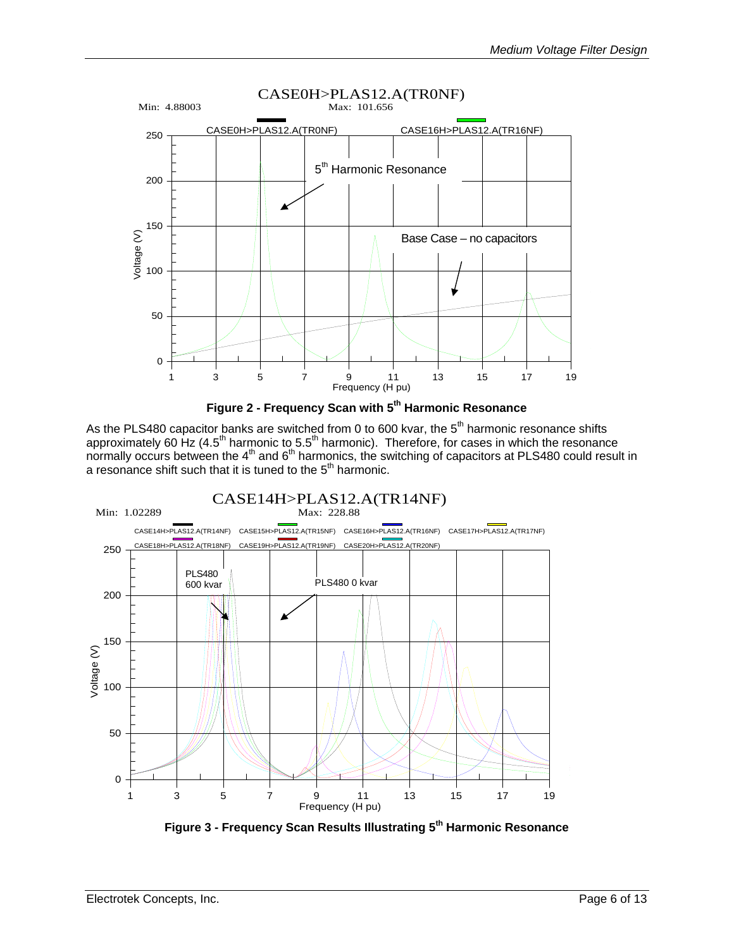<span id="page-5-0"></span>

<span id="page-5-1"></span>

As the PLS480 capacitor banks are switched from 0 to 600 kvar, the  $5<sup>th</sup>$  harmonic resonance shifts approximately 60 Hz (4.5<sup>th</sup> harmonic to 5.5<sup>th</sup> harmonic). Therefore, for cases in which the resonance normally occurs between the  $4<sup>th</sup>$  and  $6<sup>th</sup>$  harmonics, the switching of capacitors at PLS480 could result in a resonance shift such that it is tuned to the  $5<sup>th</sup>$  harmonic.



<span id="page-5-2"></span>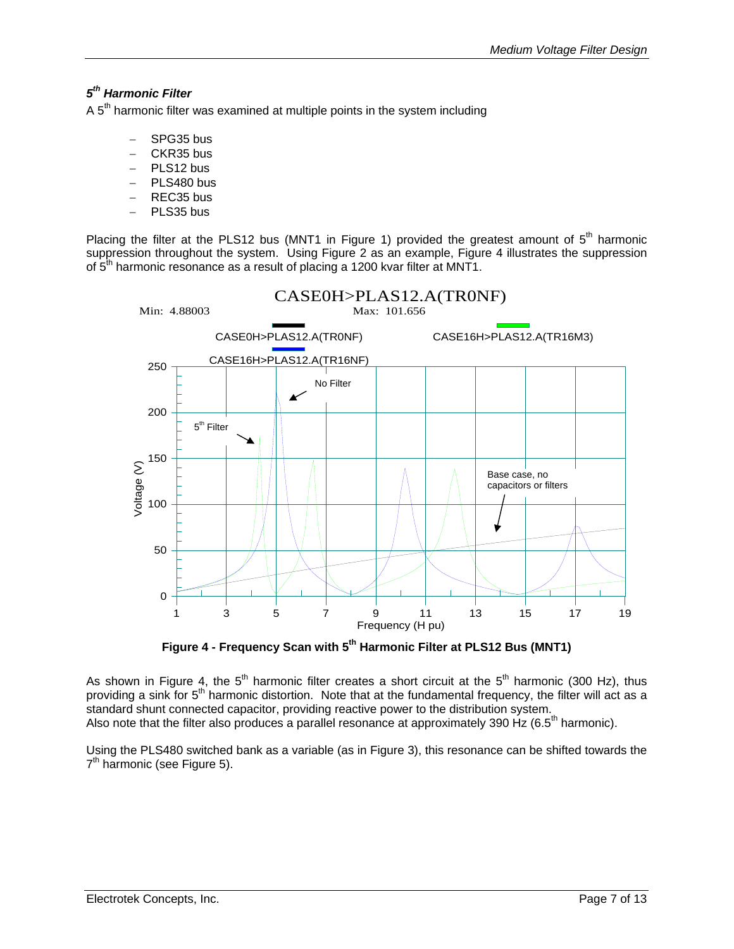## <span id="page-6-0"></span>*5th Harmonic Filter*

A  $5<sup>th</sup>$  harmonic filter was examined at multiple points in the system including

- − SPG35 bus
- − CKR35 bus
- − PLS12 bus
- PLS480 bus
- − REC35 bus
- PLS35 bus

Placing the filter at the PLS12 bus (MNT1 in [Figure 1\)](#page-3-1) provided the greatest amount of  $5<sup>th</sup>$  harmonic suppression throughout the system. Using [Figure 2](#page-5-1) as an example, [Figure 4](#page-6-1) illustrates the suppression of  $5<sup>th</sup>$  harmonic resonance as a result of placing a 1200 kvar filter at MNT1.



<span id="page-6-1"></span>Figure 4 - Frequency Scan with 5<sup>th</sup> Harmonic Filter at PLS12 Bus (MNT1)

As shown in [Figure 4,](#page-6-1) the  $5<sup>th</sup>$  harmonic filter creates a short circuit at the  $5<sup>th</sup>$  harmonic (300 Hz), thus providing a sink for 5<sup>th</sup> harmonic distortion. Note that at the fundamental frequency, the filter will act as a standard shunt connected capacitor, providing reactive power to the distribution system. Also note that the filter also produces a parallel resonance at approximately 390 Hz (6.5th harmonic).

Using the PLS480 switched bank as a variable (as in [Figure 3\)](#page-5-2), this resonance can be shifted towards the  $7<sup>th</sup>$  harmonic (see [Figure 5\)](#page-7-1).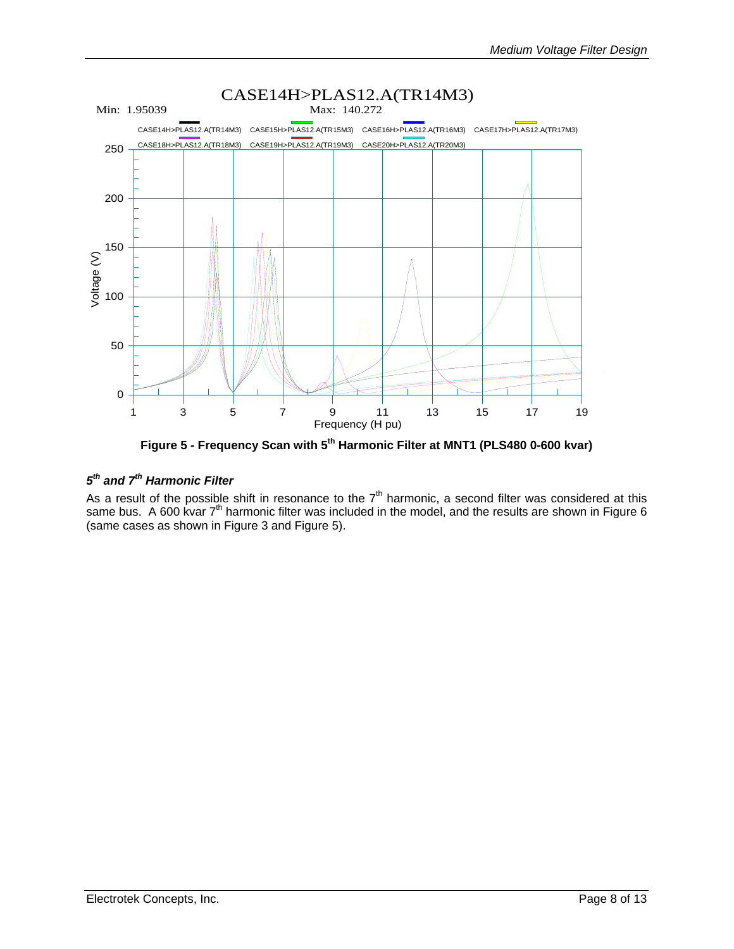<span id="page-7-1"></span><span id="page-7-0"></span>

Figure 5 - Frequency Scan with 5<sup>th</sup> Harmonic Filter at MNT1 (PLS480 0-600 kvar)

## *5th and 7th Harmonic Filter*

As a result of the possible shift in resonance to the  $7<sup>th</sup>$  harmonic, a second filter was considered at this same bus. A 600 kvar  $7<sup>th</sup>$  harmonic filter was included in the model, and the results are shown in Figure 6 (same cases as shown in [Figure 3](#page-5-2) and [Figure 5\)](#page-7-1).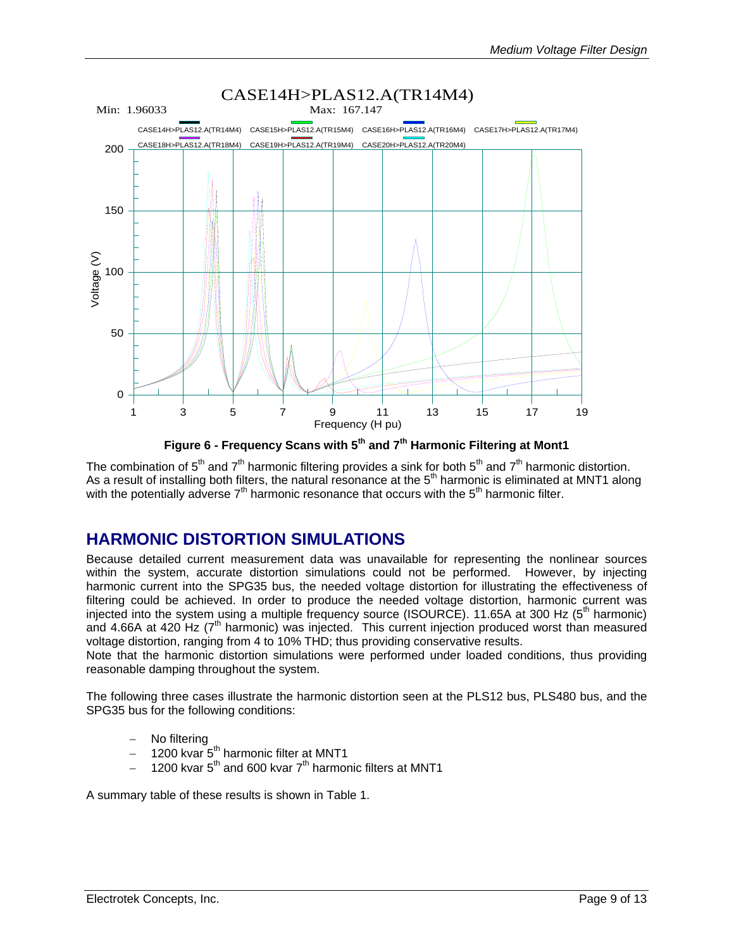<span id="page-8-1"></span><span id="page-8-0"></span>

**Figure 6 - Frequency Scans with 5th and 7th Harmonic Filtering at Mont1** 

The combination of  $5<sup>th</sup>$  and  $7<sup>th</sup>$  harmonic filtering provides a sink for both  $5<sup>th</sup>$  and  $7<sup>th</sup>$  harmonic distortion. As a result of installing both filters, the natural resonance at the  $5<sup>th</sup>$  harmonic is eliminated at MNT1 along with the potentially adverse  $7<sup>th</sup>$  harmonic resonance that occurs with the  $5<sup>th</sup>$  harmonic filter.

## **HARMONIC DISTORTION SIMULATIONS**

Because detailed current measurement data was unavailable for representing the nonlinear sources within the system, accurate distortion simulations could not be performed. However, by injecting harmonic current into the SPG35 bus, the needed voltage distortion for illustrating the effectiveness of filtering could be achieved. In order to produce the needed voltage distortion, harmonic current was injected into the system using a multiple frequency source (ISOURCE). 11.65A at 300 Hz (5<sup>th</sup> harmonic) and 4.66A at 420 Hz ( $7<sup>th</sup>$  harmonic) was injected. This current injection produced worst than measured voltage distortion, ranging from 4 to 10% THD; thus providing conservative results.

Note that the harmonic distortion simulations were performed under loaded conditions, thus providing reasonable damping throughout the system.

The following three cases illustrate the harmonic distortion seen at the PLS12 bus, PLS480 bus, and the SPG35 bus for the following conditions:

- − No filtering
- − 1200 kvar 5th harmonic filter at MNT1
- 1200 kvar  $5<sup>th</sup>$  and 600 kvar  $7<sup>th</sup>$  harmonic filters at MNT1

A summary table of these results is shown in [Table 1.](#page-9-1)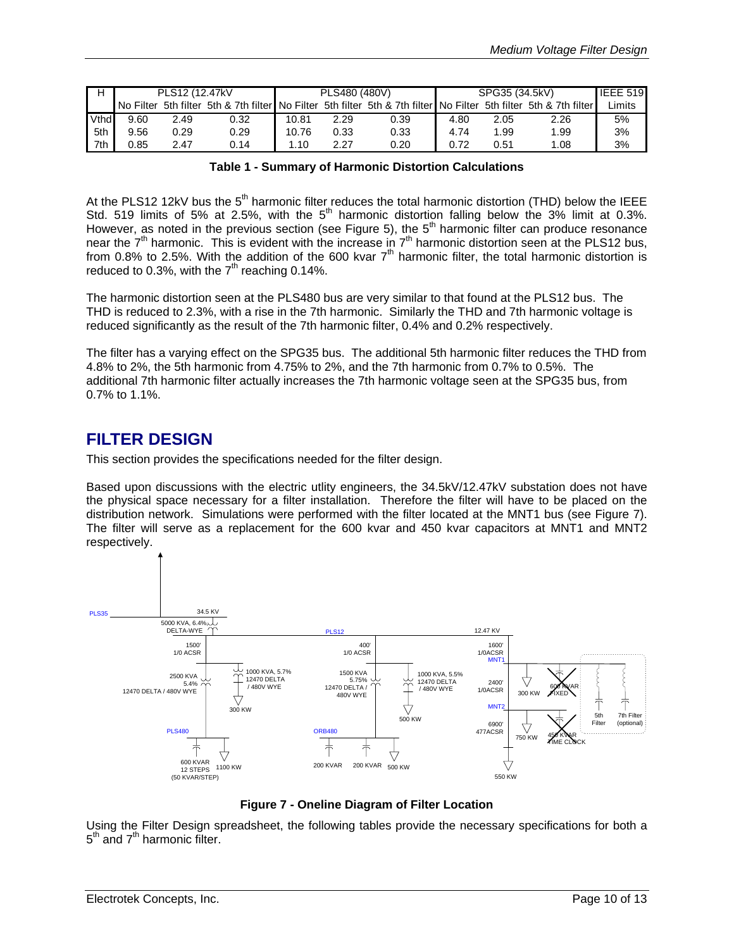<span id="page-9-0"></span>

|      | PLS12 (12.47kV) |      |                                       | PLS480 (480V) |      |                                                                   | SPG35 (34.5kV) |      |      | <b>IEEE 519</b> |
|------|-----------------|------|---------------------------------------|---------------|------|-------------------------------------------------------------------|----------------|------|------|-----------------|
|      | No Filter       |      | 5th filter 5th & 7th filter No Filter |               |      | 5th filter 5th & 7th filter No Filter 5th filter 5th & 7th filter |                |      |      | _imits          |
| Vthd | 9.60            | 2.49 | 0.32                                  | 10.81         | 2.29 | 0.39                                                              | 4.80           | 2.05 | 2.26 | 5%              |
| 5th  | 9.56            | 0.29 | 0.29                                  | 10.76         | 0.33 | 0.33                                                              | 4.74           | 1.99 | 1.99 | 3%              |
| 7th  | 0.85            | 2.47 | 0.14                                  | 1.10          | 2.27 | 0.20                                                              | 0.72           | 0.51 | 1.08 | 3%              |

#### <span id="page-9-1"></span>**Table 1 - Summary of Harmonic Distortion Calculations**

At the PLS12 12kV bus the  $5<sup>th</sup>$  harmonic filter reduces the total harmonic distortion (THD) below the IEEE Std. 519 limits of 5% at 2.5%, with the  $5<sup>th</sup>$  harmonic distortion falling below the 3% limit at 0.3%. However, as noted in the previous section (see [Figure 5\)](#page-7-1), the 5<sup>th</sup> harmonic filter can produce resonance near the  $7<sup>th</sup>$  harmonic. This is evident with the increase in  $7<sup>th</sup>$  harmonic distortion seen at the PLS12 bus, from 0.8% to 2.5%. With the addition of the 600 kvar  $7<sup>th</sup>$  harmonic filter, the total harmonic distortion is reduced to 0.3%, with the  $7<sup>th</sup>$  reaching 0.14%.

The harmonic distortion seen at the PLS480 bus are very similar to that found at the PLS12 bus. The THD is reduced to 2.3%, with a rise in the 7th harmonic. Similarly the THD and 7th harmonic voltage is reduced significantly as the result of the 7th harmonic filter, 0.4% and 0.2% respectively.

The filter has a varying effect on the SPG35 bus. The additional 5th harmonic filter reduces the THD from 4.8% to 2%, the 5th harmonic from 4.75% to 2%, and the 7th harmonic from 0.7% to 0.5%. The additional 7th harmonic filter actually increases the 7th harmonic voltage seen at the SPG35 bus, from 0.7% to 1.1%.

## **FILTER DESIGN**

This section provides the specifications needed for the filter design.

Based upon discussions with the electric utlity engineers, the 34.5kV/12.47kV substation does not have the physical space necessary for a filter installation. Therefore the filter will have to be placed on the distribution network. Simulations were performed with the filter located at the MNT1 bus (see [Figure 7\)](#page-9-2). The filter will serve as a replacement for the 600 kvar and 450 kvar capacitors at MNT1 and MNT2 respectively.

<span id="page-9-2"></span>

**Figure 7 - Oneline Diagram of Filter Location** 

Using the Filter Design spreadsheet, the following tables provide the necessary specifications for both a  $5<sup>th</sup>$  and  $7<sup>th</sup>$  harmonic filter.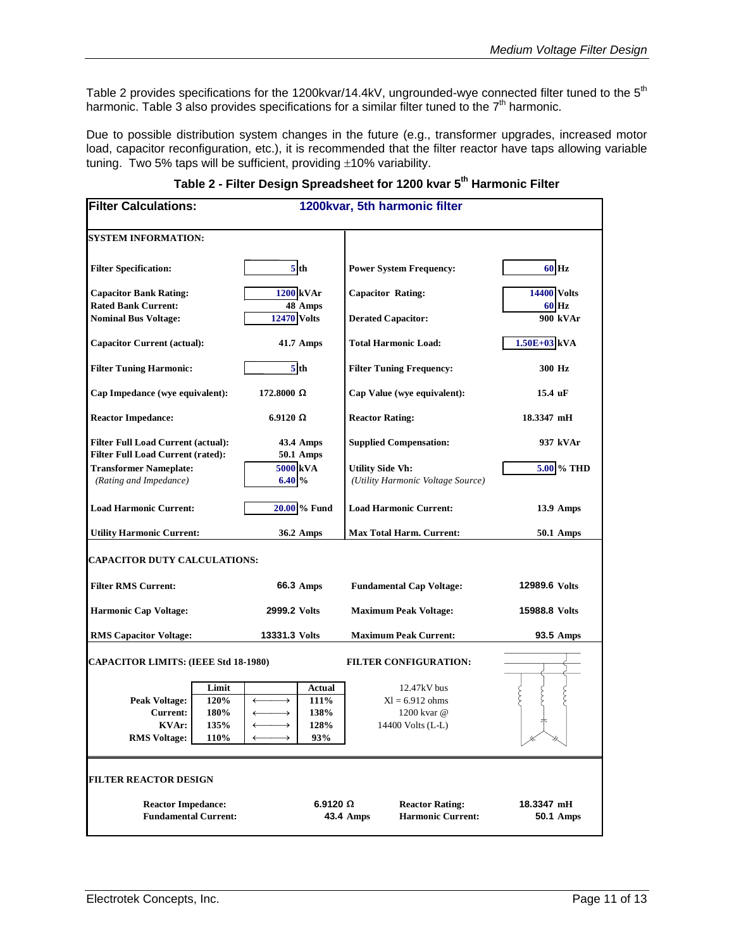<span id="page-10-0"></span>[Table 2](#page-10-1) provides specifications for the 1200kvar/14.4kV, ungrounded-wye connected filter tuned to the 5<sup>th</sup> harmonic. [Table 3](#page-11-1) also provides specifications for a similar filter tuned to the  $7<sup>th</sup>$  harmonic.

Due to possible distribution system changes in the future (e.g., transformer upgrades, increased motor load, capacitor reconfiguration, etc.), it is recommended that the filter reactor have taps allowing variable tuning. Two 5% taps will be sufficient, providing  $\pm$ 10% variability.

| <b>Filter Calculations:</b>                                                           |                                       |                             | 1200kvar, 5th harmonic filter         |                                                              |                                                                        |                                    |  |
|---------------------------------------------------------------------------------------|---------------------------------------|-----------------------------|---------------------------------------|--------------------------------------------------------------|------------------------------------------------------------------------|------------------------------------|--|
| <b>SYSTEM INFORMATION:</b>                                                            |                                       |                             |                                       |                                                              |                                                                        |                                    |  |
| <b>Filter Specification:</b>                                                          |                                       |                             | 5 <sub>th</sub>                       |                                                              | <b>Power System Frequency:</b>                                         | 60 Hz                              |  |
| <b>Capacitor Bank Rating:</b><br><b>Rated Bank Current:</b>                           |                                       | <b>1200 kVAr</b><br>48 Amps |                                       | <b>Capacitor Rating:</b>                                     |                                                                        | <b>14400 Volts</b><br><b>60 Hz</b> |  |
| <b>Nominal Bus Voltage:</b><br><b>Capacitor Current (actual):</b>                     |                                       | <b>12470 Volts</b>          |                                       | <b>Derated Capacitor:</b><br><b>Total Harmonic Load:</b>     |                                                                        | 900 kVAr<br>1.50E+03 kVA           |  |
|                                                                                       |                                       |                             | 41.7 Amps                             |                                                              |                                                                        |                                    |  |
| <b>Filter Tuning Harmonic:</b>                                                        |                                       |                             | 5 <sup>th</sup>                       |                                                              | <b>Filter Tuning Frequency:</b>                                        | 300 Hz                             |  |
| Cap Impedance (wye equivalent):                                                       |                                       | $172.8000 \Omega$           |                                       |                                                              | Cap Value (wye equivalent):                                            | 15.4 uF                            |  |
| <b>Reactor Impedance:</b>                                                             |                                       | $6.9120 \Omega$             |                                       |                                                              | <b>Reactor Rating:</b>                                                 | 18.3347 mH                         |  |
| <b>Filter Full Load Current (actual):</b><br><b>Filter Full Load Current (rated):</b> |                                       |                             | 43.4 Amps<br>50.1 Amps                | <b>Supplied Compensation:</b>                                |                                                                        | 937 kVAr                           |  |
| <b>Transformer Nameplate:</b><br>(Rating and Impedance)                               |                                       | 5000 kVA<br>6.40%           |                                       | <b>Utility Side Vh:</b><br>(Utility Harmonic Voltage Source) |                                                                        | 5.00 % THD                         |  |
| <b>Load Harmonic Current:</b>                                                         |                                       | 20.00 % Fund                |                                       | <b>Load Harmonic Current:</b>                                |                                                                        | 13.9 Amps                          |  |
| <b>Utility Harmonic Current:</b>                                                      |                                       | 36.2 Amps                   |                                       | <b>Max Total Harm. Current:</b>                              |                                                                        | 50.1 Amps                          |  |
| <b>CAPACITOR DUTY CALCULATIONS:</b>                                                   |                                       |                             |                                       |                                                              |                                                                        |                                    |  |
| <b>Filter RMS Current:</b>                                                            |                                       | 66.3 Amps                   |                                       | <b>Fundamental Cap Voltage:</b>                              |                                                                        | 12989.6 Volts                      |  |
| <b>Harmonic Cap Voltage:</b>                                                          |                                       | 2999.2 Volts                |                                       | <b>Maximum Peak Voltage:</b>                                 |                                                                        | 15988.8 Volts                      |  |
| <b>RMS Capacitor Voltage:</b>                                                         |                                       | 13331.3 Volts               |                                       | <b>Maximum Peak Current:</b>                                 |                                                                        | 93.5 Amps                          |  |
| <b>CAPACITOR LIMITS: (IEEE Std 18-1980)</b>                                           |                                       |                             |                                       |                                                              | <b>FILTER CONFIGURATION:</b>                                           |                                    |  |
| Peak Voltage:<br><b>Current:</b><br><b>KVAr:</b><br><b>RMS</b> Voltage:               | Limit<br>120%<br>180%<br>135%<br>110% | $\longrightarrow$           | Actual<br>111%<br>138%<br>128%<br>93% |                                                              | $12.47kV$ bus<br>$XI = 6.912$ ohms<br>1200 kvar @<br>14400 Volts (L-L) |                                    |  |
| <b>FILTER REACTOR DESIGN</b>                                                          |                                       |                             |                                       |                                                              |                                                                        |                                    |  |
| <b>Reactor Impedance:</b><br><b>Fundamental Current:</b>                              |                                       |                             | $6.9120 \Omega$<br>43.4 Amps          |                                                              | <b>Reactor Rating:</b><br><b>Harmonic Current:</b>                     | 18.3347 mH<br><b>50.1 Amps</b>     |  |

#### <span id="page-10-1"></span>**Table 2 - Filter Design Spreadsheet for 1200 kvar 5th Harmonic Filter**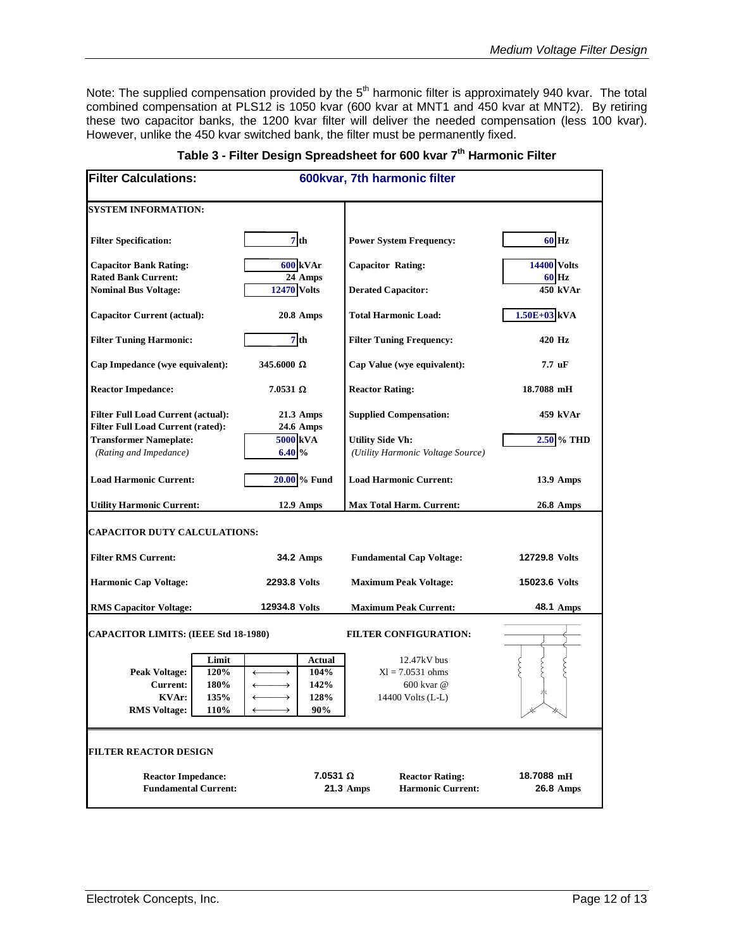<span id="page-11-0"></span>Note: The supplied compensation provided by the 5<sup>th</sup> harmonic filter is approximately 940 kvar. The total combined compensation at PLS12 is 1050 kvar (600 kvar at MNT1 and 450 kvar at MNT2). By retiring these two capacitor banks, the 1200 kvar filter will deliver the needed compensation (less 100 kvar). However, unlike the 450 kvar switched bank, the filter must be permanently fixed.

| <b>Filter Calculations:</b>                                                                                      |                                                                              | 600kvar, 7th harmonic filter                                           |                                    |
|------------------------------------------------------------------------------------------------------------------|------------------------------------------------------------------------------|------------------------------------------------------------------------|------------------------------------|
| <b>SYSTEM INFORMATION:</b>                                                                                       |                                                                              |                                                                        |                                    |
| <b>Filter Specification:</b>                                                                                     | 7th                                                                          | <b>Power System Frequency:</b>                                         | 60 Hz                              |
| <b>Capacitor Bank Rating:</b><br><b>Rated Bank Current:</b>                                                      | <b>600 kVAr</b><br>24 Amps                                                   | <b>Capacitor Rating:</b>                                               | <b>14400 Volts</b><br><b>60 Hz</b> |
| <b>Nominal Bus Voltage:</b>                                                                                      | <b>12470 Volts</b>                                                           | <b>Derated Capacitor:</b>                                              | 450 kVAr                           |
| <b>Capacitor Current (actual):</b>                                                                               | <b>20.8 Amps</b>                                                             | <b>Total Harmonic Load:</b>                                            | $1.50E+03$ <sub>kVA</sub>          |
| <b>Filter Tuning Harmonic:</b>                                                                                   | 7 <sup>th</sup>                                                              | <b>Filter Tuning Frequency:</b>                                        | 420 Hz                             |
| Cap Impedance (wye equivalent):                                                                                  | $345.6000 \Omega$                                                            | Cap Value (wye equivalent):                                            | $7.7 \text{ uF}$                   |
| <b>Reactor Impedance:</b>                                                                                        | $7.0531$ $\Omega$                                                            | <b>Reactor Rating:</b>                                                 | 18.7088 mH                         |
| <b>Filter Full Load Current (actual):</b><br><b>Filter Full Load Current (rated):</b>                            | 21.3 Amps<br>24.6 Amps                                                       | <b>Supplied Compensation:</b>                                          | 459 kVAr                           |
| <b>Transformer Nameplate:</b><br>(Rating and Impedance)                                                          | 5000 kVA<br>6.40%                                                            | <b>Utility Side Vh:</b><br>(Utility Harmonic Voltage Source)           | 2.50 % THD                         |
| <b>Load Harmonic Current:</b>                                                                                    | 20.00 % Fund                                                                 | <b>Load Harmonic Current:</b>                                          | <b>13.9 Amps</b>                   |
| <b>Utility Harmonic Current:</b>                                                                                 | $12.9$ Amps                                                                  | <b>Max Total Harm. Current:</b>                                        | <b>26.8 Amps</b>                   |
| <b>CAPACITOR DUTY CALCULATIONS:</b>                                                                              |                                                                              |                                                                        |                                    |
| <b>Filter RMS Current:</b>                                                                                       | 34.2 Amps                                                                    | <b>Fundamental Cap Voltage:</b>                                        | 12729.8 Volts                      |
| <b>Harmonic Cap Voltage:</b>                                                                                     | 2293.8 Volts                                                                 | <b>Maximum Peak Voltage:</b>                                           | 15023.6 Volts                      |
| <b>RMS Capacitor Voltage:</b>                                                                                    | 12934.8 Volts                                                                | <b>Maximum Peak Current:</b>                                           | 48.1 Amps                          |
| <b>CAPACITOR LIMITS: (IEEE Std 18-1980)</b>                                                                      |                                                                              | <b>FILTER CONFIGURATION:</b>                                           |                                    |
| Limit<br><b>Peak Voltage:</b><br>120%<br>180%<br>Current:<br>135%<br><b>KVAr:</b><br><b>RMS</b> Voltage:<br>110% | Actual<br>104%<br>$\rightarrow$<br>142%<br>$\rightarrow$<br>128%<br>→<br>90% | 12.47kV bus<br>$XI = 7.0531$ ohms<br>600 kvar @<br>14400 Volts (L-L)   |                                    |
| <b>FILTER REACTOR DESIGN</b>                                                                                     |                                                                              |                                                                        |                                    |
| <b>Reactor Impedance:</b><br><b>Fundamental Current:</b>                                                         | $7.0531 \Omega$                                                              | <b>Reactor Rating:</b><br><b>Harmonic Current:</b><br><b>21.3 Amps</b> | 18.7088 mH<br>26.8 Amps            |

<span id="page-11-1"></span>

|  | Table 3 - Filter Design Spreadsheet for 600 kvar 7 <sup>th</sup> Harmonic Filter |  |
|--|----------------------------------------------------------------------------------|--|
|--|----------------------------------------------------------------------------------|--|